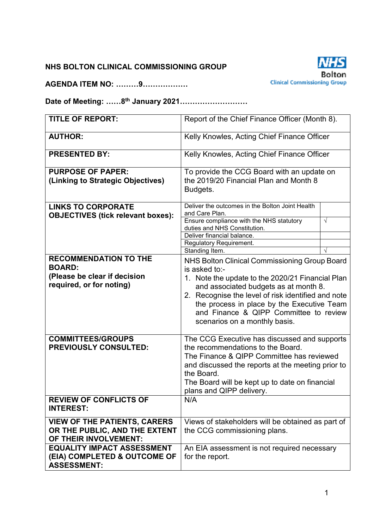### **NHS BOLTON CLINICAL COMMISSIONING GROUP**

**AGENDA ITEM NO: ………9………………** 



**Date of Meeting: ……8th January 2021………………………** 

| <b>TITLE OF REPORT:</b>                                                                                   | Report of the Chief Finance Officer (Month 8).                                                                                                                                                                                                                                                                                             |            |  |  |  |
|-----------------------------------------------------------------------------------------------------------|--------------------------------------------------------------------------------------------------------------------------------------------------------------------------------------------------------------------------------------------------------------------------------------------------------------------------------------------|------------|--|--|--|
| <b>AUTHOR:</b>                                                                                            | Kelly Knowles, Acting Chief Finance Officer                                                                                                                                                                                                                                                                                                |            |  |  |  |
| <b>PRESENTED BY:</b>                                                                                      | Kelly Knowles, Acting Chief Finance Officer                                                                                                                                                                                                                                                                                                |            |  |  |  |
| <b>PURPOSE OF PAPER:</b><br>(Linking to Strategic Objectives)                                             | To provide the CCG Board with an update on<br>the 2019/20 Financial Plan and Month 8<br>Budgets.                                                                                                                                                                                                                                           |            |  |  |  |
| <b>LINKS TO CORPORATE</b><br><b>OBJECTIVES (tick relevant boxes):</b>                                     | Deliver the outcomes in the Bolton Joint Health<br>and Care Plan.<br>Ensure compliance with the NHS statutory                                                                                                                                                                                                                              | $\sqrt{ }$ |  |  |  |
|                                                                                                           | duties and NHS Constitution.<br>Deliver financial balance.<br>Regulatory Requirement.<br>Standing Item.                                                                                                                                                                                                                                    | $\sqrt{ }$ |  |  |  |
| <b>RECOMMENDATION TO THE</b><br><b>BOARD:</b><br>(Please be clear if decision<br>required, or for noting) | NHS Bolton Clinical Commissioning Group Board<br>is asked to:-<br>1. Note the update to the 2020/21 Financial Plan<br>and associated budgets as at month 8.<br>2. Recognise the level of risk identified and note<br>the process in place by the Executive Team<br>and Finance & QIPP Committee to review<br>scenarios on a monthly basis. |            |  |  |  |
| <b>COMMITTEES/GROUPS</b><br><b>PREVIOUSLY CONSULTED:</b>                                                  | The CCG Executive has discussed and supports<br>the recommendations to the Board.<br>The Finance & QIPP Committee has reviewed<br>and discussed the reports at the meeting prior to<br>the Board.<br>The Board will be kept up to date on financial<br>plans and QIPP delivery.                                                            |            |  |  |  |
| <b>REVIEW OF CONFLICTS OF</b><br><b>INTEREST:</b>                                                         | N/A                                                                                                                                                                                                                                                                                                                                        |            |  |  |  |
| <b>VIEW OF THE PATIENTS, CARERS</b><br>OR THE PUBLIC, AND THE EXTENT<br>OF THEIR INVOLVEMENT:             | Views of stakeholders will be obtained as part of<br>the CCG commissioning plans.                                                                                                                                                                                                                                                          |            |  |  |  |
| <b>EQUALITY IMPACT ASSESSMENT</b><br>(EIA) COMPLETED & OUTCOME OF<br><b>ASSESSMENT:</b>                   | An EIA assessment is not required necessary<br>for the report.                                                                                                                                                                                                                                                                             |            |  |  |  |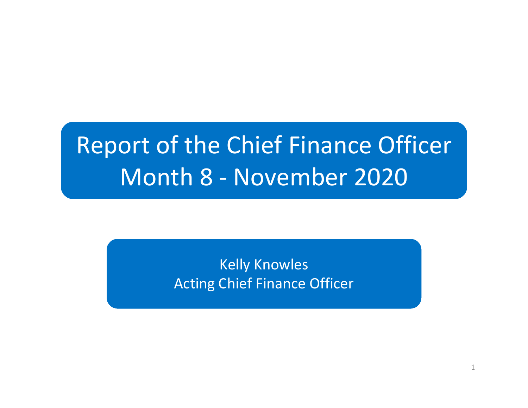# Report of the Chief Finance OfficerMonth 8 - November 2020

Kelly KnowlesActing Chief Finance Officer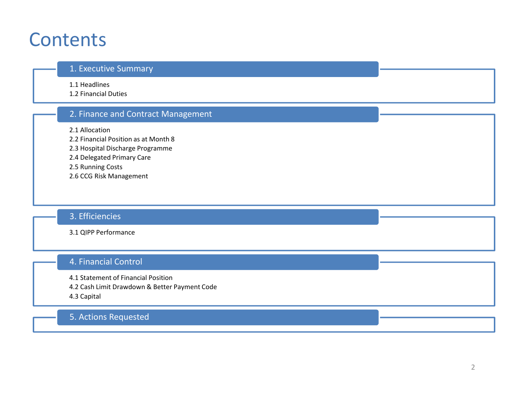### **Contents**

#### 1. Executive Summary

1.1 Headlines

1.2 Financial Duties

### 2. Finance and Contract Management

2.1 Allocation

2.2 Financial Position as at Month 8

2.3 Hospital Discharge Programme

2.4 Delegated Primary Care

2.5 Running Costs

2.6 CCG Risk Management

### 3. Efficiencies

3.1 QIPP Performance

### 4. Financial Control

4.1 Statement of Financial Position

4.2 Cash Limit Drawdown & Better Payment Code

4.3 Capital

### 5. Actions Requested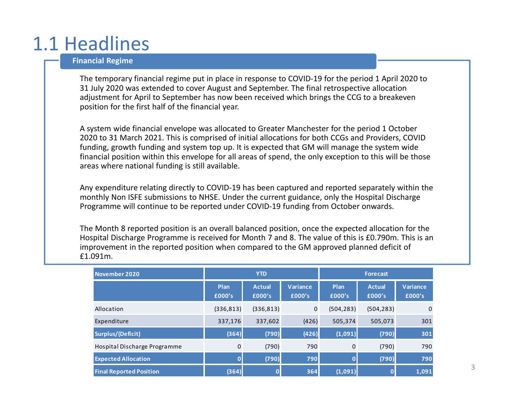# 1.1 Headlines

#### **Financial Regime**

The temporary financial regime put in place in response to COVID-19 for the period 1 April 2020 to 31 July 2020 was extended to cover August and September. The final retrospective allocation adjustment for April to September has now been received which brings the CCG to a breakeven position for the first half of the financial year.

A system wide financial envelope was allocated to Greater Manchester for the period 1 October 2020 to 31 March 2021. This is comprised of initial allocations for both CCGs and Providers, COVID funding, growth funding and system top up. It is expected that GM will manage the system wide financial position within this envelope for all areas of spend, the only exception to this will be those areas where national funding is still available.

Any expenditure relating directly to COVID-19 has been captured and reported separately within the monthly Non ISFE submissions to NHSE. Under the current guidance, only the Hospital Discharge Programme will continue to be reported under COVID-19 funding from October onwards.

The Month 8 reported position is an overall balanced position, once the expected allocation for the Hospital Discharge Programme is received for Month 7 and 8. The value of this is £0.790m. This is an improvement in the reported position when compared to the GM approved planned deficit of £1.091m.

| November 2020                  | <b>YTD</b>     |                         |                    | <b>Forecast</b> |                         |                           |  |
|--------------------------------|----------------|-------------------------|--------------------|-----------------|-------------------------|---------------------------|--|
|                                | Plan<br>£000's | <b>Actual</b><br>£000's | Variance<br>£000's | Plan<br>£000's  | <b>Actual</b><br>£000's | <b>Variance</b><br>£000's |  |
| Allocation                     | (336, 813)     | (336, 813)              | 0                  | (504, 283)      | (504, 283)              | 0                         |  |
| Expenditure                    | 337,176        | 337,602                 | (426)              | 505,374         | 505,073                 | 301                       |  |
| Surplus/(Deficit)              | (364)          | (790)                   | (426)              | (1,091)         | (790)                   | 301                       |  |
| Hospital Discharge Programme   | $\mathbf{0}$   | (790)                   | 790                | $\mathbf{0}$    | (790)                   | 790                       |  |
| <b>Expected Allocation</b>     |                | (790)                   | 790                |                 | (790)                   | 790                       |  |
| <b>Final Reported Position</b> | (364)          | $\overline{\mathbf{0}}$ | 364                | (1,091)         |                         | 1,091                     |  |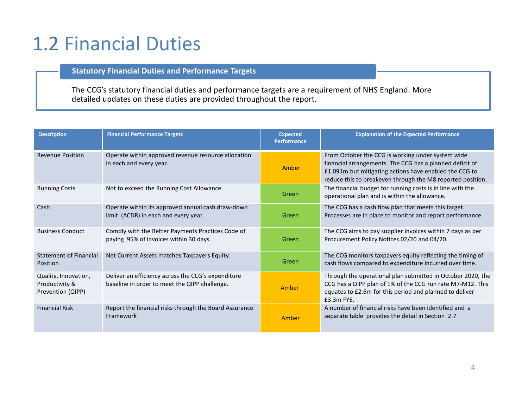# 1.2 Financial Duties

#### **Statutory Financial Duties and Performance Targets**

The CCG's statutory financial duties and performance targets are a requirement of NHS England. More detailed updates on these duties are provided throughout the report.

| <b>Description</b>                                          | <b>Financial Performance Targets</b>                                                                | <b>Expected</b><br><b>Performance</b> | <b>Explanation of the Expected Performance</b>                                                                                                                                                                                        |
|-------------------------------------------------------------|-----------------------------------------------------------------------------------------------------|---------------------------------------|---------------------------------------------------------------------------------------------------------------------------------------------------------------------------------------------------------------------------------------|
| <b>Revenue Position</b>                                     | Operate within approved revenue resource allocation<br>in each and every year.                      | Amber                                 | From October the CCG is working under system wide<br>financial arrangements. The CCG has a planned deficit of<br>£1.091m but mitigating actions have enabled the CCG to<br>reduce this to breakeven through the M8 reported position. |
| <b>Running Costs</b>                                        | Not to exceed the Running Cost Allowance                                                            | Green                                 | The financial budget for running costs is in line with the<br>operational plan and is within the allowance.                                                                                                                           |
| Cash                                                        | Operate within its approved annual cash draw-down<br>limit (ACDR) in each and every year.           | Green                                 | The CCG has a cash flow plan that meets this target.<br>Processes are in place to monitor and report performance.                                                                                                                     |
| <b>Business Conduct</b>                                     | Comply with the Better Payments Practices Code of<br>paying 95% of invoices within 30 days.         | Green                                 | The CCG aims to pay supplier invoices within 7 days as per<br>Procurement Policy Notices 02/20 and 04/20.                                                                                                                             |
| Statement of Financial<br>Position                          | Net Current Assets matches Taxpayers Equity.                                                        | Green                                 | The CCG monitors taxpayers equity reflecting the timing of<br>cash flows compared to expenditure incurred over time.                                                                                                                  |
| Quality, Innovation,<br>Productivity &<br>Prevention (QIPP) | Deliver an efficiency across the CCG's expenditure<br>baseline in order to meet the QIPP challenge. | Amber                                 | Through the operational plan submitted in October 2020, the<br>CCG has a QIPP plan of 1% of the CCG run rate M7-M12. This<br>equates to £2.6m for this period and planned to deliver<br>$£3.3m$ FYE.                                  |
| <b>Financial Risk</b>                                       | Report the financial risks through the Board Assurance<br>Framework                                 | Amber                                 | A number of financial risks have been identified and a<br>separate table provides the detail in Section 2.7                                                                                                                           |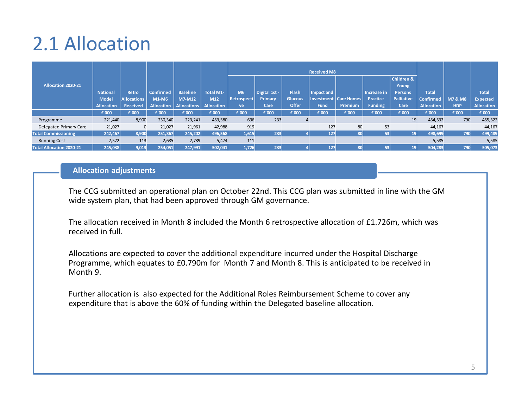# 2.1 Allocation

|                                 |                   |                    |                  |                                 |                   |             |               |                    | <b>Received M8</b> |                              |                |                         |                   |                    |                   |
|---------------------------------|-------------------|--------------------|------------------|---------------------------------|-------------------|-------------|---------------|--------------------|--------------------|------------------------------|----------------|-------------------------|-------------------|--------------------|-------------------|
|                                 |                   |                    |                  |                                 |                   |             |               |                    |                    |                              |                | <b>Children &amp;</b>   |                   |                    |                   |
| <b>Allocation 2020-21</b>       | <b>National</b>   | <b>Retro</b>       | <b>Confirmed</b> | <b>Baseline</b>                 | <b>Total M1-</b>  | <b>M6</b>   | Digital 1st - | Flash <sup>1</sup> | Impact and         |                              | Increase in    | Young<br><b>Persons</b> | <b>Total</b>      |                    | <b>Total</b>      |
|                                 | <b>Model</b>      | <b>Allocations</b> | M1-M6            | <b>M7-M12</b>                   | M12               | Retrospecti | Primary       | <b>Glucous</b>     |                    | <b>Investment Care Homes</b> | Practice       | <b>Palliative</b>       | <b>Confirmed</b>  | <b>M7 &amp; M8</b> | <b>Expected</b>   |
|                                 | <b>Allocation</b> | Received           |                  | <b>Allocation   Allocations</b> | <b>Allocation</b> | ve          | Care          | <b>Offer</b>       | <b>Fund</b>        | Premium                      | <b>Funding</b> | Care                    | <b>Allocation</b> | <b>HDP</b>         | <b>Allocation</b> |
|                                 | £'000             | £'000              | £'000            | £'000                           | £'000             | £'000       | £'000         | £'000              | £'000              | £'000                        | £'000          | £'000                   | £'000             | £'000              | £'000             |
| Programme                       | 221,440           | 8,900              | 230,340          | 223,241                         | 453,580           | 696         | 233           |                    |                    |                              |                | 19                      | 454,532           | 790                | 455,322           |
| Delegated Primary Care          | 21,027            | $\mathbf 0$        | 21,027           | 21,961                          | 42,988            | 919         |               |                    | 127                | 80                           | 53             |                         | 44,167            |                    | 44,167            |
| <b>Total Commissioning</b>      | 242,467           | 8,900              | 251,367          | 245,202                         | 496,568           | 1,615       | 233           |                    | 127                | 80                           | 53             | 19 <sup>l</sup>         | 498,699           | 790                | 499,489           |
| <b>Running Cost</b>             | 2,572             | 113                | 2,685            | 2,789                           | 5,474             | 111         |               |                    |                    |                              |                |                         | 5,585             |                    | 5,585             |
| <b>Total Allocation 2020-21</b> | 245,038           | 9,013              | 254,051          | 247,991                         | 502,041           | 1,726       | 233           |                    | 127                | 80                           | 53             | 19                      | 504,283           | 790                | 505,073           |

#### **Allocation adjustments**

The CCG submitted an operational plan on October 22nd. This CCG plan was submitted in line with the GMwide system plan, that had been approved through GM governance.

The allocation received in Month 8 included the Month 6 retrospective allocation of £1.726m, which was received in full.

Allocations are expected to cover the additional expenditure incurred under the Hospital Discharge Programme, which equates to £0.790m for Month 7 and Month 8. This is anticipated to be received in Month 9.

Further allocation is also expected for the Additional Roles Reimbursement Scheme to cover any expenditure that is above the 60% of funding within the Delegated baseline allocation.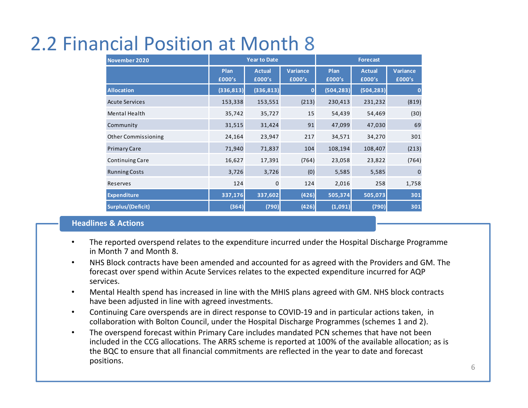# 2.2 Financial Position at Month 8

| November 2020              | <b>Year to Date</b> |                         |                           | <b>Forecast</b> |                         |                           |  |
|----------------------------|---------------------|-------------------------|---------------------------|-----------------|-------------------------|---------------------------|--|
|                            | Plan<br>£000's      | <b>Actual</b><br>£000's | <b>Variance</b><br>£000's | Plan<br>£000's  | <b>Actual</b><br>£000's | <b>Variance</b><br>£000's |  |
| <b>Allocation</b>          | (336, 813)          | (336, 813)              | 0                         | (504, 283)      | (504, 283)              | 0                         |  |
| <b>Acute Services</b>      | 153,338             | 153,551                 | (213)                     | 230,413         | 231,232                 | (819)                     |  |
| Mental Health              | 35,742              | 35,727                  | 15                        | 54,439          | 54,469                  | (30)                      |  |
| Community                  | 31,515              | 31,424                  | 91                        | 47,099          | 47,030                  | 69                        |  |
| <b>Other Commissioning</b> | 24,164              | 23,947                  | 217                       | 34,571          | 34,270                  | 301                       |  |
| <b>Primary Care</b>        | 71,940              | 71,837                  | 104                       | 108,194         | 108,407                 | (213)                     |  |
| Continuing Care            | 16,627              | 17,391                  | (764)                     | 23,058          | 23,822                  | (764)                     |  |
| <b>Running Costs</b>       | 3,726               | 3,726                   | (0)                       | 5,585           | 5,585                   | $\mathbf 0$               |  |
| Reserves                   | 124                 | $\mathbf 0$             | 124                       | 2,016           | 258                     | 1,758                     |  |
| <b>Expenditure</b>         | 337,176             | 337,602                 | (426)                     | 505,374         | 505,073                 | 301                       |  |
| Surplus/(Deficit)          | (364)               | (790)                   | (426)                     | (1,091)         | (790)                   | 301                       |  |

#### **Headlines & Actions**

- • The reported overspend relates to the expenditure incurred under the Hospital Discharge Programmein Month 7 and Month 8.
- • NHS Block contracts have been amended and accounted for as agreed with the Providers and GM. The forecast over spend within Acute Services relates to the expected expenditure incurred for AQP services.
- • Mental Health spend has increased in line with the MHIS plans agreed with GM. NHS block contracts have been adjusted in line with agreed investments.
- $\bullet$  Continuing Care overspends are in direct response to COVID-19 and in particular actions taken, in collaboration with Bolton Council, under the Hospital Discharge Programmes (schemes 1 and 2).
- • The overspend forecast within Primary Care includes mandated PCN schemes that have not been included in the CCG allocations. The ARRS scheme is reported at 100% of the available allocation; as is the BQC to ensure that all financial commitments are reflected in the year to date and forecast positions.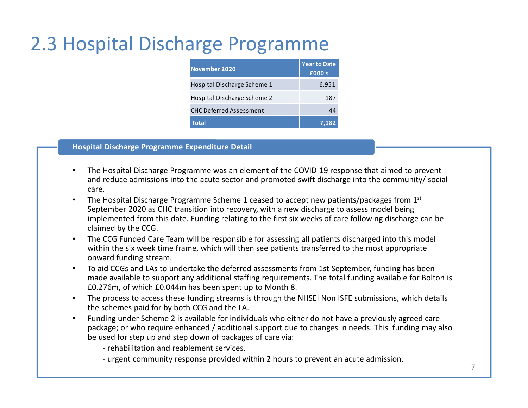# 2.3 Hospital Discharge Programme

| November 2020                  | <b>Year to Date</b><br>£000's |
|--------------------------------|-------------------------------|
| Hospital Discharge Scheme 1    | 6,951                         |
| Hospital Discharge Scheme 2    | 187                           |
| <b>CHC Deferred Assessment</b> |                               |
| <b>Total</b>                   | 7,182                         |

#### **Hospital Discharge Programme Expenditure Detail**

- • The Hospital Discharge Programme was an element of the COVID-19 response that aimed to prevent and reduce admissions into the acute sector and promoted swift discharge into the community/ social care.
- •The Hospital Discharge Programme Scheme 1 ceased to accept new patients/packages from 1<sup>st</sup> September 2020 as CHC transition into recovery, with a new discharge to assess model being implemented from this date. Funding relating to the first six weeks of care following discharge can beclaimed by the CCG.
- • The CCG Funded Care Team will be responsible for assessing all patients discharged into this model within the six week time frame, which will then see patients transferred to the most appropriate onward funding stream.
- • To aid CCGs and LAs to undertake the deferred assessments from 1st September, funding has been made available to support any additional staffing requirements. The total funding available for Bolton is £0.276m, of which £0.044m has been spent up to Month 8.
- • The process to access these funding streams is through the NHSEI Non ISFE submissions, which details the schemes paid for by both CCG and the LA.
- • Funding under Scheme 2 is available for individuals who either do not have a previously agreed care package; or who require enhanced / additional support due to changes in needs. This funding may also be used for step up and step down of packages of care via:

- rehabilitation and reablement services.

- urgent community response provided within 2 hours to prevent an acute admission.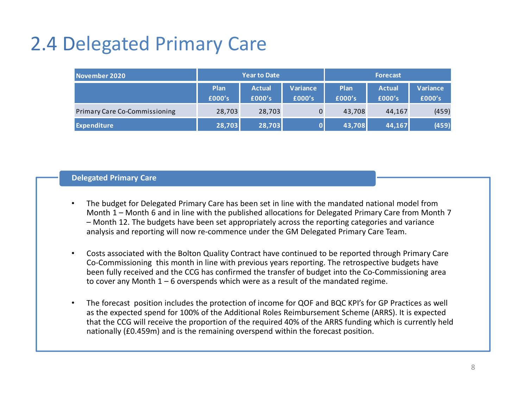# 2.4 Delegated Primary Care

| November 2020                        | <b>Year to Date</b> |                         |                    | <b>Forecast</b> |                         |                    |  |
|--------------------------------------|---------------------|-------------------------|--------------------|-----------------|-------------------------|--------------------|--|
|                                      | Plan<br>£000's      | <b>Actual</b><br>£000's | Variance<br>£000's | Plan<br>£000's  | <b>Actual</b><br>£000's | Variance<br>£000's |  |
| <b>Primary Care Co-Commissioning</b> | 28,703              | 28,703                  |                    | 43,708          | 44,167                  | (459)              |  |
| <b>Expenditure</b>                   | 28,703              | 28,703                  |                    | 43,708          | 44,167                  | (459)              |  |

#### **Delegated Primary Care**

- • The budget for Delegated Primary Care has been set in line with the mandated national model from Month 1 – Month 6 and in line with the published allocations for Delegated Primary Care from Month 7 – Month 12. The budgets have been set appropriately across the reporting categories and variance analysis and reporting will now re-commence under the GM Delegated Primary Care Team.
- • Costs associated with the Bolton Quality Contract have continued to be reported through Primary Care Co-Commissioning this month in line with previous years reporting. The retrospective budgets have been fully received and the CCG has confirmed the transfer of budget into the Co-Commissioning area to cover any Month  $1 - 6$  overspends which were as a result of the mandated regime.
- • The forecast position includes the protection of income for QOF and BQC KPI's for GP Practices as well as the expected spend for 100% of the Additional Roles Reimbursement Scheme (ARRS). It is expected that the CCG will receive the proportion of the required 40% of the ARRS funding which is currently held nationally (£0.459m) and is the remaining overspend within the forecast position.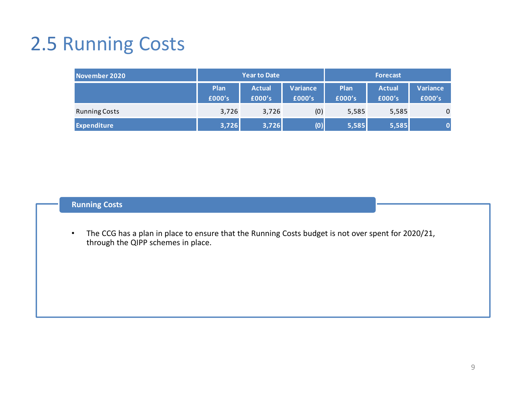# 2.5 Running Costs

| November 2020        | <b>Year to Date</b> |                         |                           | <b>Forecast</b> |                         |                    |  |
|----------------------|---------------------|-------------------------|---------------------------|-----------------|-------------------------|--------------------|--|
|                      | Plan<br>£000's      | <b>Actual</b><br>£000's | <b>Variance</b><br>£000's | Plan<br>£000's  | <b>Actual</b><br>£000's | Variance<br>£000's |  |
| <b>Running Costs</b> | 3,726               | 3,726                   | (0)                       | 5,585           | 5,585                   | $\mathbf 0$        |  |
| <b>Expenditure</b>   | 3,726               | 3,726                   | (0)                       | 5,585           | 5,585                   |                    |  |

### **Running Costs**

• The CCG has a plan in place to ensure that the Running Costs budget is not over spent for 2020/21, through the QIPP schemes in place.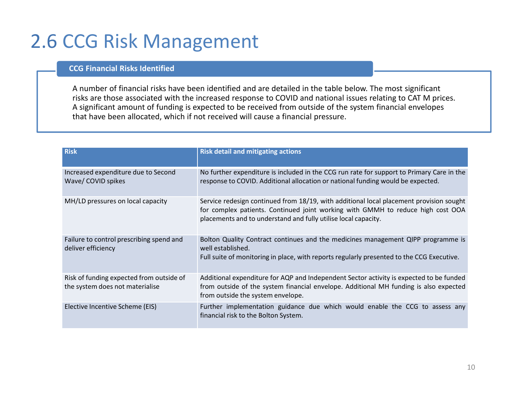### 2.6 CCG Risk Management

#### **CCG Financial Risks Identified**

A number of financial risks have been identified and are detailed in the table below. The most significant risks are those associated with the increased response to COVID and national issues relating to CAT M prices. A significant amount of funding is expected to be received from outside of the system financial envelopes that have been allocated, which if not received will cause a financial pressure.

| <b>Risk</b>                                                                 | <b>Risk detail and mitigating actions</b>                                                                                                                                                                                                    |
|-----------------------------------------------------------------------------|----------------------------------------------------------------------------------------------------------------------------------------------------------------------------------------------------------------------------------------------|
| Increased expenditure due to Second<br>Wave/ COVID spikes                   | No further expenditure is included in the CCG run rate for support to Primary Care in the<br>response to COVID. Additional allocation or national funding would be expected.                                                                 |
| MH/LD pressures on local capacity                                           | Service redesign continued from 18/19, with additional local placement provision sought<br>for complex patients. Continued joint working with GMMH to reduce high cost OOA<br>placements and to understand and fully utilise local capacity. |
| Failure to control prescribing spend and<br>deliver efficiency              | Bolton Quality Contract continues and the medicines management QIPP programme is<br>well established.<br>Full suite of monitoring in place, with reports regularly presented to the CCG Executive.                                           |
| Risk of funding expected from outside of<br>the system does not materialise | Additional expenditure for AQP and Independent Sector activity is expected to be funded<br>from outside of the system financial envelope. Additional MH funding is also expected<br>from outside the system envelope.                        |
| Elective Incentive Scheme (EIS)                                             | Further implementation guidance due which would enable the CCG to assess any<br>financial risk to the Bolton System.                                                                                                                         |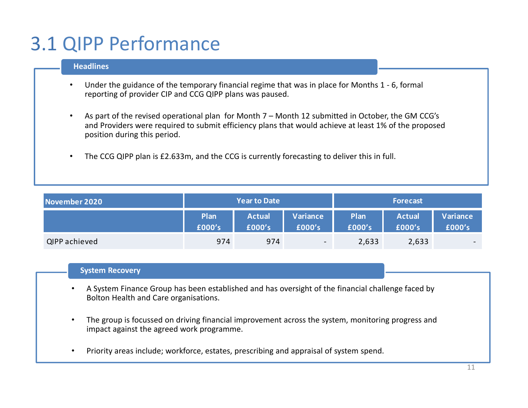# 3.1 QIPP Performance

#### **Headlines**

- • Under the guidance of the temporary financial regime that was in place for Months 1 - 6, formal reporting of provider CIP and CCG QIPP plans was paused.
- • As part of the revised operational plan for Month 7 – Month 12 submitted in October, the GM CCG's and Providers were required to submit efficiency plans that would achieve at least 1% of the proposed position during this period.
- •The CCG QIPP plan is £2.633m, and the CCG is currently forecasting to deliver this in full.

| November 2020 |                | <b>Year to Date</b>     |                          | <b>Forecast</b> |                         |                          |  |
|---------------|----------------|-------------------------|--------------------------|-----------------|-------------------------|--------------------------|--|
|               | Plan<br>£000's | <b>Actual</b><br>£000's | Variance<br>£000's       | Plan<br>£000's  | <b>Actual</b><br>£000's | Variance<br>£000's       |  |
| QIPP achieved | 974            | 974                     | $\overline{\phantom{a}}$ | 2,633           | 2,633                   | $\overline{\phantom{0}}$ |  |

#### **System Recovery**

- • A System Finance Group has been established and has oversight of the financial challenge faced by Bolton Health and Care organisations.
- • The group is focussed on driving financial improvement across the system, monitoring progress and impact against the agreed work programme.
- •Priority areas include; workforce, estates, prescribing and appraisal of system spend.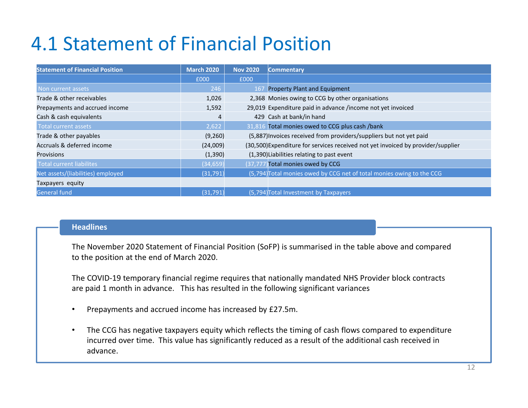# 4.1 Statement of Financial Position

| <b>Statement of Financial Position</b> | <b>March 2020</b> | <b>Nov 2020</b> | <b>Commentary</b>                                                                |
|----------------------------------------|-------------------|-----------------|----------------------------------------------------------------------------------|
|                                        | £000              | £000            |                                                                                  |
| Non current assets                     | 246               | 16 <sub>l</sub> | Property Plant and Equipment                                                     |
| Trade & other receivables              | 1,026             |                 | 2,368 Monies owing to CCG by other organisations                                 |
| Prepayments and accrued income         | 1,592             |                 | 29,019 Expenditure paid in advance /income not yet invoiced                      |
| Cash & cash equivalents                | 4                 |                 | 429 Cash at bank/in hand                                                         |
| Total current assets                   | 2,622             |                 | 31,816 Total monies owed to CCG plus cash /bank                                  |
| Trade & other payables                 | (9,260)           |                 | (5,887) Invoices received from providers/suppliers but not yet paid              |
| Accruals & deferred income             | (24,009)          |                 | (30,500) Expenditure for services received not yet invoiced by provider/supplier |
| <b>Provisions</b>                      | (1, 390)          |                 | (1,390) Liabilities relating to past event                                       |
| <b>Total current liabilites</b>        | (34, 659)         |                 | (37,777) Total monies owed by CCG                                                |
| Net assets/(liabilities) employed      | (31,791)          |                 | (5,794) Total monies owed by CCG net of total monies owing to the CCG            |
| Taxpayers equity                       |                   |                 |                                                                                  |
| <b>General fund</b>                    | (31,791)          |                 | (5,794) Total Investment by Taxpayers                                            |

#### **Headlines**

The November 2020 Statement of Financial Position (SoFP) is summarised in the table above and comparedto the position at the end of March 2020.

The COVID-19 temporary financial regime requires that nationally mandated NHS Provider block contractsare paid 1 month in advance. This has resulted in the following significant variances

- •Prepayments and accrued income has increased by £27.5m.
- $\bullet$  The CCG has negative taxpayers equity which reflects the timing of cash flows compared to expenditure incurred over time. This value has significantly reduced as a result of the additional cash received in advance.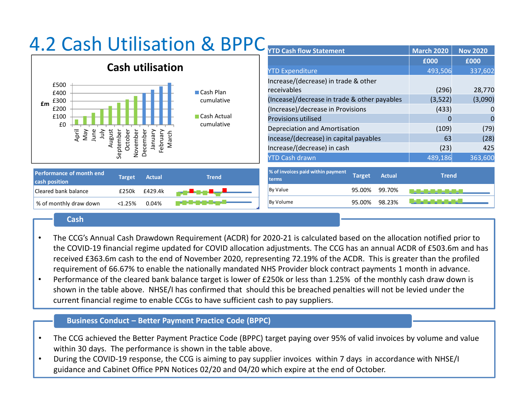| 4.Z CQ3II                                                                                          | <b>YTD Cash flow Statement</b>                                        | <b>March 2020</b>     | <b>Nov 2020</b> |
|----------------------------------------------------------------------------------------------------|-----------------------------------------------------------------------|-----------------------|-----------------|
|                                                                                                    |                                                                       | £000                  | £000            |
| <b>Cash utilisation</b>                                                                            | <b>YTD Expenditure</b>                                                | 493,506               | 337,602         |
| £500                                                                                               | Increase/(decrease) in trade & other                                  |                       |                 |
| <b>■ Cash Plan</b><br>£400                                                                         | receivables                                                           | (296)                 | 28,770          |
| cumulative<br>£300<br>£m                                                                           | (Incease)/decrease in trade & other payables                          | (3,522)               | (3,090)         |
| £200<br><b>■ Cash Actual</b><br>£100                                                               | (Increase)/decrease in Provisions                                     | (433)                 | 0               |
|                                                                                                    | <b>Provisions utilised</b>                                            |                       | 0               |
| £0<br>cumulative                                                                                   | Depreciation and Amortisation                                         | (109)                 | (79)            |
| April<br>June<br>VeW<br>$\frac{2}{3}$<br>ugust<br>March<br>temb<br>Octob                           | Incease/(decrease) in capital payables                                | 63                    | (28)            |
| Februa<br>ovemb<br>ecem<br>Ó                                                                       | Increase/(decrease) in cash                                           | (23)                  | 425             |
| ر<br>و<br>$\bigcirc$                                                                               | <b>YTD Cash drawn</b>                                                 | 489,186               | 363,600         |
| <b>Performance of month end</b><br><b>Actual</b><br><b>Trend</b><br><b>Target</b><br>cash position | % of invoices paid within payment<br>Target<br><b>Actual</b><br>terms | <b>Trend</b>          |                 |
| Cleared bank balance<br>£429.4k<br>£250k                                                           | By Value<br>95.00%<br>99.70%                                          | ▙▟█▄ <b>█▄█▄█▄█</b> ▄ |                 |
| % of monthly draw down<br>0.04%<br>< 1.25%                                                         | 98.23%<br>By Volume<br>95.00%                                         |                       |                 |

# 4.2 Cash Utilisation & BPPC

#### **Cash**

- • The CCG's Annual Cash Drawdown Requirement (ACDR) for 2020-21 is calculated based on the allocation notified prior to the COVID-19 financial regime updated for COVID allocation adjustments. The CCG has an annual ACDR of £503.6m and has received £363.6m cash to the end of November 2020, representing 72.19% of the ACDR. This is greater than the profiled requirement of 66.67% to enable the nationally mandated NHS Provider block contract payments 1 month in advance.
- • Performance of the cleared bank balance target is lower of £250k or less than 1.25% of the monthly cash draw down is shown in the table above. NHSE/I has confirmed that should this be breached penalties will not be levied under the current financial regime to enable CCGs to have sufficient cash to pay suppliers.

#### **Business Conduct – Better Payment Practice Code (BPPC)**

- • The CCG achieved the Better Payment Practice Code (BPPC) target paying over 95% of valid invoices by volume and value within 30 days. The performance is shown in the table above.
- • During the COVID-19 response, the CCG is aiming to pay supplier invoices within 7 days in accordance with NHSE/I guidance and Cabinet Office PPN Notices 02/20 and 04/20 which expire at the end of October.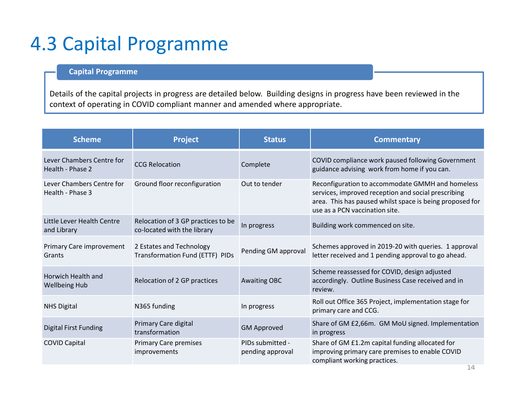### 4.3 Capital Programme

### **Capital Programme**

Details of the capital projects in progress are detailed below. Building designs in progress have been reviewed in the context of operating in COVID compliant manner and amended where appropriate.

| <b>Scheme</b>                                 | <b>Project</b>                                                    | <b>Status</b>                        | <b>Commentary</b>                                                                                                                                                                                     |
|-----------------------------------------------|-------------------------------------------------------------------|--------------------------------------|-------------------------------------------------------------------------------------------------------------------------------------------------------------------------------------------------------|
| Lever Chambers Centre for<br>Health - Phase 2 | <b>CCG Relocation</b>                                             | Complete                             | COVID compliance work paused following Government<br>guidance advising work from home if you can.                                                                                                     |
| Lever Chambers Centre for<br>Health - Phase 3 | Ground floor reconfiguration                                      | Out to tender                        | Reconfiguration to accommodate GMMH and homeless<br>services, improved reception and social prescribing<br>area. This has paused whilst space is being proposed for<br>use as a PCN vaccination site. |
| Little Lever Health Centre<br>and Library     | Relocation of 3 GP practices to be<br>co-located with the library | In progress                          | Building work commenced on site.                                                                                                                                                                      |
| Primary Care improvement<br>Grants            | 2 Estates and Technology<br>Transformation Fund (ETTF) PIDs       | Pending GM approval                  | Schemes approved in 2019-20 with queries. 1 approval<br>letter received and 1 pending approval to go ahead.                                                                                           |
| Horwich Health and<br><b>Wellbeing Hub</b>    | Relocation of 2 GP practices                                      | <b>Awaiting OBC</b>                  | Scheme reassessed for COVID, design adjusted<br>accordingly. Outline Business Case received and in<br>review.                                                                                         |
| <b>NHS Digital</b>                            | N365 funding                                                      | In progress                          | Roll out Office 365 Project, implementation stage for<br>primary care and CCG.                                                                                                                        |
| <b>Digital First Funding</b>                  | Primary Care digital<br>transformation                            | <b>GM Approved</b>                   | Share of GM £2,66m. GM MoU signed. Implementation<br>in progress                                                                                                                                      |
| <b>COVID Capital</b>                          | <b>Primary Care premises</b><br>improvements                      | PIDs submitted -<br>pending approval | Share of GM £1.2m capital funding allocated for<br>improving primary care premises to enable COVID<br>compliant working practices.                                                                    |